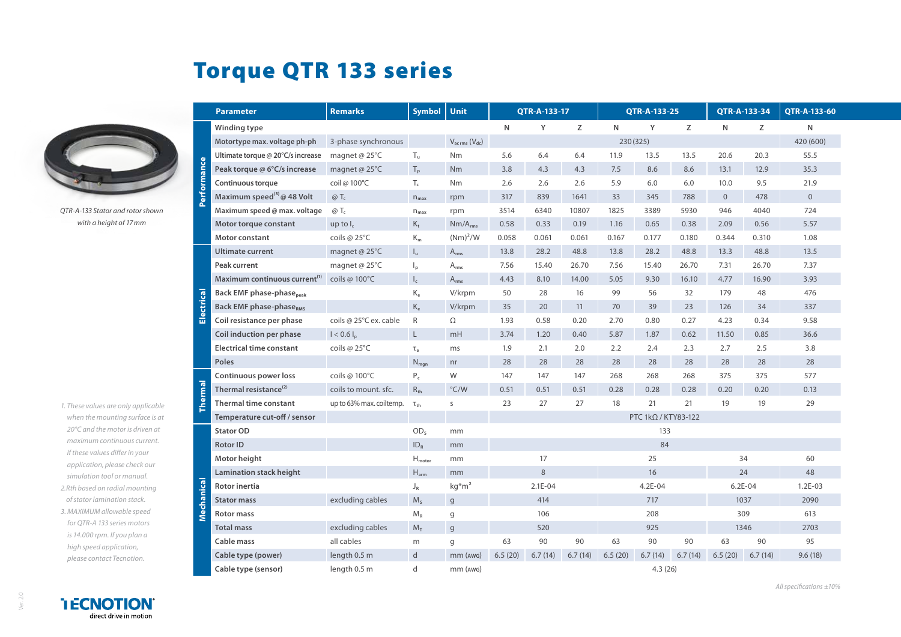## Torque QTR 133 series



*QTR-A-133 Stator and rotor shown with a height of 17mm*

- *1. These values are only applicable when the mounting surface is at 20°C and the motor is driven at maximum continuous current. If these values differ in your application, please check our simulation tool or manual.*
- *2.Rth based on radial mounting of stator lamination stack.*
- *3. MAXIMUM allowable speed for QTR-A 133 series motors is 14.000 rpm. If you plan a high speed application, please contact Tecnotion.*

|                 | <b>Parameter</b>                            | <b>Remarks</b>           | <b>Symbol</b>             | Unit                                | QTR-A-133-17 |         | QTR-A-133-25 |                     |             | QTR-A-133-34 |              | QTR-A-133-60 |                |
|-----------------|---------------------------------------------|--------------------------|---------------------------|-------------------------------------|--------------|---------|--------------|---------------------|-------------|--------------|--------------|--------------|----------------|
|                 | Winding type                                |                          |                           |                                     | $\mathsf{N}$ | Y       | Z            | N                   | Y           | Z            | N            | Z            | N              |
| <b>tormance</b> | Motortype max. voltage ph-ph                | 3-phase synchronous      |                           | $V_{\text{ac rms}} (V_{\text{dc}})$ |              |         |              | 230 (325)           |             |              |              |              | 420 (600)      |
|                 | Ultimate torque @ 20°C/s increase           | magnet @ 25°C            | $T_u$                     | Nm                                  | 5.6          | 6.4     | 6.4          | 11.9                | 13.5        | 13.5         | 20.6         | 20.3         | 55.5           |
|                 | Peak torque @ 6°C/s increase                | magnet @ 25°C            | $T_{p}$                   | Nm                                  | 3.8          | 4.3     | 4.3          | 7.5                 | 8.6         | 8.6          | 13.1         | 12.9         | 35.3           |
|                 | Continuous torque                           | coil @ 100°C             | $T_c$                     | <b>Nm</b>                           | 2.6          | 2.6     | 2.6          | 5.9                 | 6.0         | 6.0          | 10.0         | 9.5          | 21.9           |
|                 | Maximum speed <sup>(3)</sup> @ 48 Volt      | $@T_c$                   | $n_{\text{max}}$          | rpm                                 | 317          | 839     | 1641         | 33                  | 345         | 788          | $\mathbf{0}$ | 478          | $\overline{0}$ |
|                 | Maximum speed @ max. voltage                | $\omega$ T <sub>c</sub>  | $n_{max}$                 | rpm                                 | 3514         | 6340    | 10807        | 1825                | 3389        | 5930         | 946          | 4040         | 724            |
|                 | Motor torque constant                       | up to $I_c$              | $K_t$                     | $Nm/A_{rms}$                        | 0.58         | 0.33    | 0.19         | 1.16                | 0.65        | 0.38         | 2.09         | 0.56         | 5.57           |
|                 | Motor constant                              | coils @ 25°C             | $K_m$                     | $(Nm)^2/W$                          | 0.058        | 0.061   | 0.061        | 0.167               | 0.177       | 0.180        | 0.344        | 0.310        | 1.08           |
| Electrical      | <b>Ultimate current</b>                     | magnet @ 25°C            | $\mathsf{l}_\mathsf{u}$   | $A_{rms}$                           | 13.8         | 28.2    | 48.8         | 13.8                | 28.2        | 48.8         | 13.3         | 48.8         | 13.5           |
|                 | Peak current                                | magnet @ 25°C            | $\mathsf{I}_{\mathsf{p}}$ | $\mathsf{A}_{\mathsf{rms}}$         | 7.56         | 15.40   | 26.70        | 7.56                | 15.40       | 26.70        | 7.31         | 26.70        | 7.37           |
|                 | Maximum continuous current <sup>(1)</sup>   | coils @ 100°C            | $\mathsf{I}_\mathsf{c}$   | $\mathsf{A}_{\mathsf{rms}}$         | 4.43         | 8.10    | 14.00        | 5.05                | 9.30        | 16.10        | 4.77         | 16.90        | 3.93           |
|                 | <b>Back EMF phase-phase</b> <sub>peak</sub> |                          | $K_e$                     | V/krpm                              | 50           | 28      | 16           | 99                  | 56          | 32           | 179          | 48           | 476            |
|                 | <b>Back EMF phase-phaseRMS</b>              |                          | $\rm K_e$                 | V/krpm                              | 35           | 20      | 11           | 70                  | 39          | 23           | 126          | 34           | 337            |
|                 | Coil resistance per phase                   | coils @ 25°C ex. cable   | $\mathsf{R}$              | Ω                                   | 1.93         | 0.58    | 0.20         | 2.70                | 0.80        | 0.27         | 4.23         | 0.34         | 9.58           |
|                 | Coil induction per phase                    | $I < 0.6 I_n$            | $\mathsf{L}$              | mH                                  | 3.74         | 1.20    | 0.40         | 5.87                | 1.87        | 0.62         | 11.50        | 0.85         | 36.6           |
|                 | <b>Electrical time constant</b>             | coils @ 25°C             | $\tau_e$                  | ms                                  | 1.9          | 2.1     | 2.0          | 2.2                 | 2.4         | 2.3          | 2.7          | 2.5          | 3.8            |
|                 | Poles                                       |                          | $N_{\text{map}}$          | nr                                  | 28           | 28      | 28           | 28                  | 28          | 28           | 28           | 28           | 28             |
| herma           | Continuous power loss                       | coils @ 100°C            | $P_c$                     | W                                   | 147          | 147     | 147          | 268                 | 268         | 268          | 375          | 375          | 577            |
|                 | Thermal resistance <sup>(2)</sup>           | coils to mount. sfc.     | $R_{th}$                  | $\degree$ C/W                       | 0.51         | 0.51    | 0.51         | 0.28                | 0.28        | 0.28         | 0.20         | 0.20         | 0.13           |
|                 | <b>Thermal time constant</b>                | up to 63% max. coiltemp. | $\tau_{\text{th}}$        | S                                   | 23           | 27      | 27           | 18                  | 21          | 21           | 19           | 19           | 29             |
|                 | Temperature cut-off / sensor                |                          |                           |                                     |              |         |              | PTC 1kΩ / KTY83-122 |             |              |              |              |                |
| lanical         | <b>Stator OD</b>                            |                          | OD <sub>s</sub>           | mm                                  |              |         |              | 133                 |             |              |              |              |                |
|                 | <b>Rotor ID</b>                             |                          | $ID_R$                    | mm                                  |              |         |              | 84                  |             |              |              |              |                |
|                 | Motor height                                |                          | $H_{motor}$               | mm                                  |              | 17      |              | 25                  |             |              | 34           |              | 60             |
|                 | Lamination stack height                     |                          | $H_{arm}$                 | mm                                  |              | 8       |              | 16                  |             | 24           |              | 48           |                |
|                 | Rotor inertia                               |                          | $J_R$                     | $kg*m2$                             | 2.1E-04      |         | $4.2E - 04$  |                     | $6.2E - 04$ |              | $1.2E-03$    |              |                |
|                 | <b>Stator mass</b>                          | excluding cables         | M <sub>s</sub>            | $\mathsf{g}$                        | 414          |         | 717          |                     | 1037        |              | 2090         |              |                |
|                 | <b>Rotor mass</b>                           |                          | $M_R$                     | g                                   | 106          |         |              | 208                 |             |              | 309          |              | 613            |
|                 | <b>Total mass</b>                           | excluding cables         | $M_T$                     | $\mathbf{g}$                        | 520          |         | 925          |                     |             | 1346         |              | 2703         |                |
|                 | Cable mass                                  | all cables               | m                         | g                                   | 63           | 90      | 90           | 63                  | 90          | 90           | 63           | 90           | 95             |
|                 | Cable type (power)                          | length 0.5 m             | d                         | $mm$ ( $AWG$ )                      | 6.5(20)      | 6.7(14) | 6.7(14)      | 6.5(20)             | 6.7(14)     | 6.7(14)      | 6.5(20)      | 6.7(14)      | 9.6(18)        |
|                 | Cable type (sensor)                         | length 0.5 m             | d                         | mm (AWG)                            |              |         |              | 4.3(26)             |             |              |              |              |                |